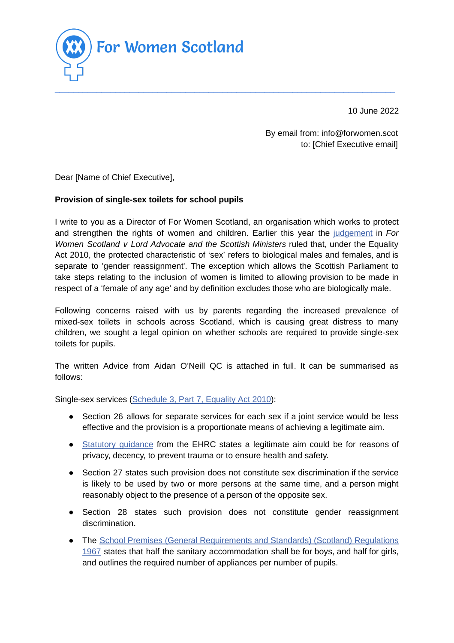

10 June 2022

By email from: info@forwomen.scot to: [Chief Executive email]

Dear [Name of Chief Executive],

## **Provision of single-sex toilets for school pupils**

I write to you as a Director of For Women Scotland, an organisation which works to protect and strengthen the rights of women and children. Earlier this year the [judgement](https://www.scotcourts.gov.uk/docs/default-source/cos-general-docs/pdf-docs-for-opinions/2022csih4.pdf) in *For Women Scotland v Lord Advocate and the Scottish Ministers* ruled that, under the Equality Act 2010, the protected characteristic of 'sex' refers to biological males and females, and is separate to 'gender reassignment'. The exception which allows the Scottish Parliament to take steps relating to the inclusion of women is limited to allowing provision to be made in respect of a 'female of any age' and by definition excludes those who are biologically male.

 $\_$  , and the set of the set of the set of the set of the set of the set of the set of the set of the set of the set of the set of the set of the set of the set of the set of the set of the set of the set of the set of th

Following concerns raised with us by parents regarding the increased prevalence of mixed-sex toilets in schools across Scotland, which is causing great distress to many children, we sought a legal opinion on whether schools are required to provide single-sex toilets for pupils.

The written Advice from Aidan O'Neill QC is attached in full. It can be summarised as follows:

Single-sex services [\(Schedule](https://www.legislation.gov.uk/ukpga/2010/15/schedule/3/part/7) 3, Part 7, Equality Act 2010):

- Section 26 allows for separate services for each sex if a joint service would be less effective and the provision is a proportionate means of achieving a legitimate aim.
- Statutory [guidance](https://www.equalityhumanrights.com/sites/default/files/guidance-separate-and-single-sex-service-providers-equality-act-sex-and-gender-reassignment-exceptions.pdf) from the EHRC states a legitimate aim could be for reasons of privacy, decency, to prevent trauma or to ensure health and safety.
- Section 27 states such provision does not constitute sex discrimination if the service is likely to be used by two or more persons at the same time, and a person might reasonably object to the presence of a person of the opposite sex.
- Section 28 states such provision does not constitute gender reassignment discrimination.
- The School Premises (General [Requirements](https://www.legislation.gov.uk/uksi/1967/1199/pdfs/uksi_19671199_en.pdf) and Standards) (Scotland) Regulations [1967](https://www.legislation.gov.uk/uksi/1967/1199/pdfs/uksi_19671199_en.pdf) states that half the sanitary accommodation shall be for boys, and half for girls, and outlines the required number of appliances per number of pupils.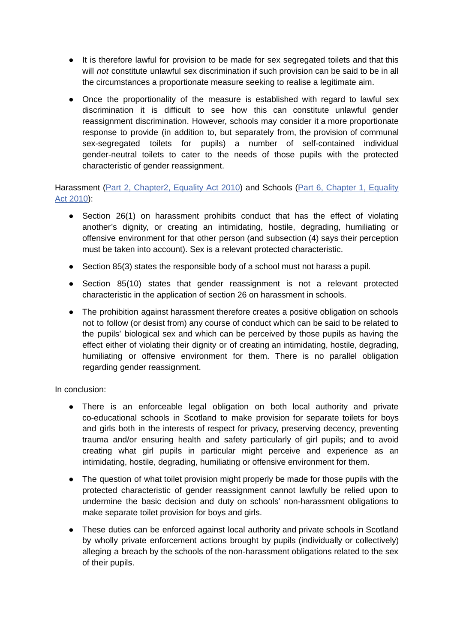- It is therefore lawful for provision to be made for sex segregated toilets and that this will *not* constitute unlawful sex discrimination if such provision can be said to be in all the circumstances a proportionate measure seeking to realise a legitimate aim.
- Once the proportionality of the measure is established with regard to lawful sex discrimination it is difficult to see how this can constitute unlawful gender reassignment discrimination. However, schools may consider it a more proportionate response to provide (in addition to, but separately from, the provision of communal sex-segregated toilets for pupils) a number of self-contained individual gender-neutral toilets to cater to the needs of those pupils with the protected characteristic of gender reassignment.

Harassment (Part 2, [Chapter2,](https://www.legislation.gov.uk/ukpga/2010/15/section/26) [Equality](https://www.legislation.gov.uk/ukpga/2010/15/part/6/chapter/1) Act 2010) and Schools (Part 6, Chapter 1, Equality Act [2010](https://www.legislation.gov.uk/ukpga/2010/15/part/6/chapter/1)):

- Section 26(1) on harassment prohibits conduct that has the effect of violating another's dignity, or creating an intimidating, hostile, degrading, humiliating or offensive environment for that other person (and subsection (4) says their perception must be taken into account). Sex is a relevant protected characteristic.
- Section 85(3) states the responsible body of a school must not harass a pupil.
- Section 85(10) states that gender reassignment is not a relevant protected characteristic in the application of section 26 on harassment in schools.
- The prohibition against harassment therefore creates a positive obligation on schools not to follow (or desist from) any course of conduct which can be said to be related to the pupils' biological sex and which can be perceived by those pupils as having the effect either of violating their dignity or of creating an intimidating, hostile, degrading, humiliating or offensive environment for them. There is no parallel obligation regarding gender reassignment.

In conclusion:

- There is an enforceable legal obligation on both local authority and private co-educational schools in Scotland to make provision for separate toilets for boys and girls both in the interests of respect for privacy, preserving decency, preventing trauma and/or ensuring health and safety particularly of girl pupils; and to avoid creating what girl pupils in particular might perceive and experience as an intimidating, hostile, degrading, humiliating or offensive environment for them.
- The question of what toilet provision might properly be made for those pupils with the protected characteristic of gender reassignment cannot lawfully be relied upon to undermine the basic decision and duty on schools' non-harassment obligations to make separate toilet provision for boys and girls.
- These duties can be enforced against local authority and private schools in Scotland by wholly private enforcement actions brought by pupils (individually or collectively) alleging a breach by the schools of the non-harassment obligations related to the sex of their pupils.